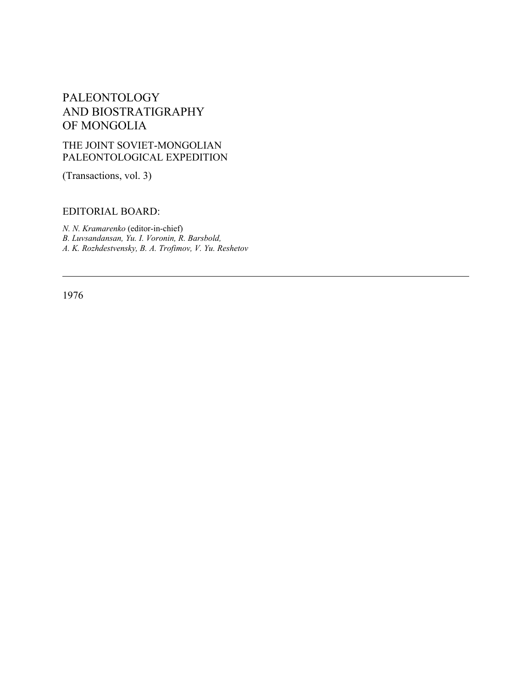# PALEONTOLOGY AND BIOSTRATIGRAPHY OF MONGOLIA

## THE JOINT SOVIET-MONGOLIAN PALEONTOLOGICAL EXPEDITION

(Transactions, vol. 3)

## EDITORIAL BOARD:

*N. N. Kramarenko* (editor-in-chief) *B. Luvsandansan, Yu. I. Voronin, R. Barsbold, A. K. Rozhdestvensky, B. A. Trofimov, V. Yu. Reshetov*

1976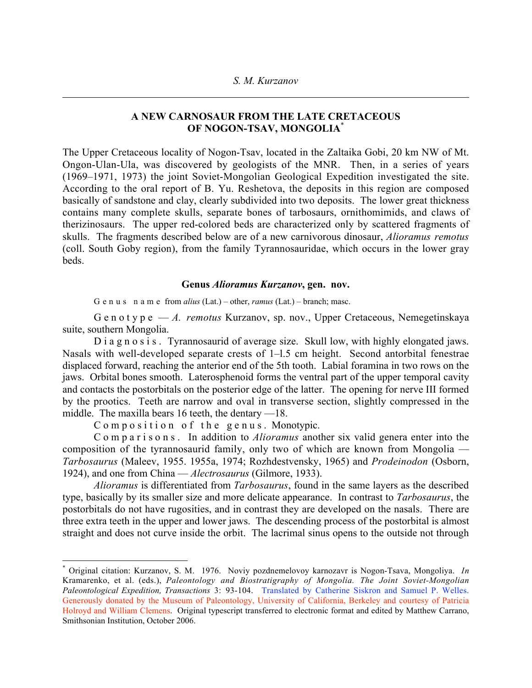## A NEW CARNOSAUR FROM THE LATE CRETACEOUS OF NOGON-TSAV, MONGOLIA\*

The Upper Cretaceous locality of Nogon-Tsav, located in the Zaltaika Gobi, 20 km NW of Mt. Ongon-Ulan-Ula, was discovered by geologists of the MNR. Then, in a series of years (1969–1971, 1973) the joint Soviet-Mongolian Geological Expedition investigated the site. According to the oral report of B. Yu. Reshetova, the deposits in this region are composed basically of sandstone and clay, clearly subdivided into two deposits. The lower great thickness contains many complete skulls, separate bones of tarbosaurs, ornithomimids, and claws of therizinosaurs. The upper red-colored beds are characterized only by scattered fragments of skulls. The fragments described below are of a new carnivorous dinosaur, *Alioramus remotus* (coll. South Goby region), from the family Tyrannosauridae, which occurs in the lower gray beds.

#### Genus *Alioramus Kurzanov*, gen. nov.

G e n u s n a m e from *alius* (Lat.) – other, *ramus* (Lat.) – branch; masc.

G e n o t y p e — *A. remotus* Kurzanov, sp. nov., Upper Cretaceous, Nemegetinskaya suite, southern Mongolia.

D i a g n o s i s. Tyrannosaurid of average size. Skull low, with highly elongated jaws. Nasals with well-developed separate crests of 1–l.5 cm height. Second antorbital fenestrae displaced forward, reaching the anterior end of the 5th tooth. Labial foramina in two rows on the jaws. Orbital bones smooth. Laterosphenoid forms the ventral part of the upper temporal cavity and contacts the postorbitals on the posterior edge of the latter. The opening for nerve III formed by the prootics. Teeth are narrow and oval in transverse section, slightly compressed in the middle. The maxilla bears 16 teeth, the dentary —18.

Composition of the genus. Monotypic.

C o m p a r i s o n s . In addition to *Alioramus* another six valid genera enter into the composition of the tyrannosaurid family, only two of which are known from Mongolia — *Tarbosaurus* (Maleev, 1955. 1955a, 1974; Rozhdestvensky, 1965) and *Prodeinodon* (Osborn, 1924), and one from China — *Alectrosaurus* (Gilmore, 1933).

*Alioramus* is differentiated from *Tarbosaurus*, found in the same layers as the described type, basically by its smaller size and more delicate appearance. In contrast to *Tarbosaurus*, the postorbitals do not have rugosities, and in contrast they are developed on the nasals. There are three extra teeth in the upper and lower jaws. The descending process of the postorbital is almost straight and does not curve inside the orbit. The lacrimal sinus opens to the outside not through

\* Original citation: Kurzanov, S. M. 1976. Noviy pozdnemelovoy karnozavr is Nogon-Tsava, Mongoliya. *In* Kramarenko, et al. (eds.), *Paleontology and Biostratigraphy of Mongolia. The Joint Soviet-Mongolian Paleontological Expedition, Transactions* 3: 93-104. Translated by Catherine Siskron and Samuel P. Welles. Generously donated by the Museum of Paleontology, University of California, Berkeley and courtesy of Patricia Holroyd and William Clemens. Original typescript transferred to electronic format and edited by Matthew Carrano, Smithsonian Institution, October 2006.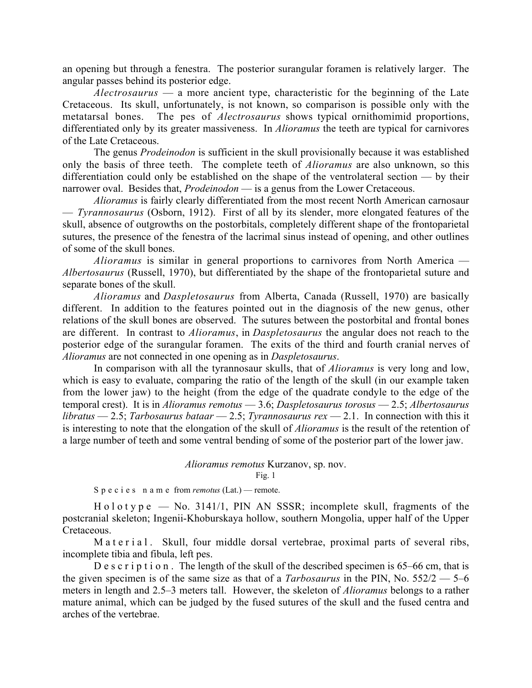an opening but through a fenestra. The posterior surangular foramen is relatively larger. The angular passes behind its posterior edge.

*Alectrosaurus* — a more ancient type, characteristic for the beginning of the Late Cretaceous. Its skull, unfortunately, is not known, so comparison is possible only with the metatarsal bones. The pes of *Alectrosaurus* shows typical ornithomimid proportions, differentiated only by its greater massiveness. In *Alioramus* the teeth are typical for carnivores of the Late Cretaceous.

The genus *Prodeinodon* is sufficient in the skull provisionally because it was established only the basis of three teeth. The complete teeth of *Alioramus* are also unknown, so this differentiation could only be established on the shape of the ventrolateral section — by their narrower oval. Besides that, *Prodeinodon* — is a genus from the Lower Cretaceous.

*Alioramus* is fairly clearly differentiated from the most recent North American carnosaur — *Tyrannosaurus* (Osborn, 1912). First of all by its slender, more elongated features of the skull, absence of outgrowths on the postorbitals, completely different shape of the frontoparietal sutures, the presence of the fenestra of the lacrimal sinus instead of opening, and other outlines of some of the skull bones.

*Alioramus* is similar in general proportions to carnivores from North America — *Albertosaurus* (Russell, 1970), but differentiated by the shape of the frontoparietal suture and separate bones of the skull.

*Alioramus* and *Daspletosaurus* from Alberta, Canada (Russell, 1970) are basically different. In addition to the features pointed out in the diagnosis of the new genus, other relations of the skull bones are observed. The sutures between the postorbital and frontal bones are different. In contrast to *Alioramus*, in *Daspletosaurus* the angular does not reach to the posterior edge of the surangular foramen. The exits of the third and fourth cranial nerves of *Alioramus* are not connected in one opening as in *Daspletosaurus*.

In comparison with all the tyrannosaur skulls, that of *Alioramus* is very long and low, which is easy to evaluate, comparing the ratio of the length of the skull (in our example taken from the lower jaw) to the height (from the edge of the quadrate condyle to the edge of the temporal crest). It is in *Alioramus remotus* — 3.6; *Daspletosaurus torosus* — 2.5; *Albertosaurus libratus* — 2.5; *Tarbosaurus bataar* — 2.5; *Tyrannosaurus rex* — 2.1. In connection with this it is interesting to note that the elongation of the skull of *Alioramus* is the result of the retention of a large number of teeth and some ventral bending of some of the posterior part of the lower jaw.

#### *Alioramus remotus* Kurzanov, sp. nov.

 $Fig. 1$ 

S p e c i e s n a m e from *remotus* (Lat.) — remote.

 $H \circ l \circ t$  y p e — No. 3141/1, PIN AN SSSR; incomplete skull, fragments of the postcranial skeleton; Ingenii-Khoburskaya hollow, southern Mongolia, upper half of the Upper Cretaceous.

M a t e r i a l. Skull, four middle dorsal vertebrae, proximal parts of several ribs, incomplete tibia and fibula, left pes.

D e s c r i p t i o n. The length of the skull of the described specimen is 65–66 cm, that is the given specimen is of the same size as that of a *Tarbosaurus* in the PIN, No. 552/2 — 5–6 meters in length and 2.5–3 meters tall. However, the skeleton of *Alioramus* belongs to a rather mature animal, which can be judged by the fused sutures of the skull and the fused centra and arches of the vertebrae.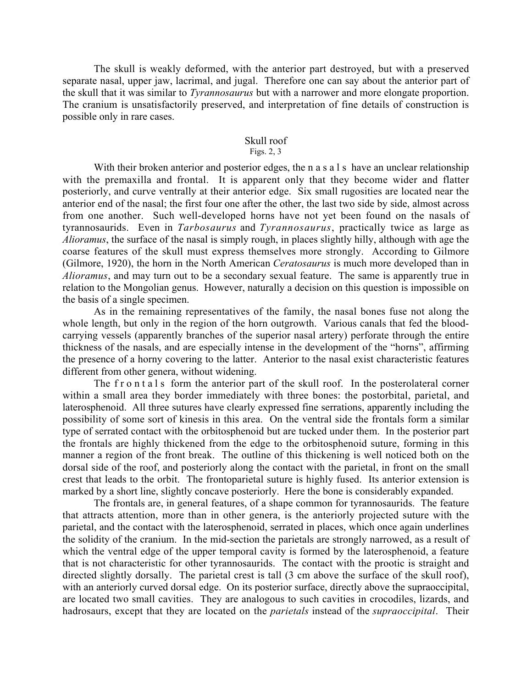The skull is weakly deformed, with the anterior part destroyed, but with a preserved separate nasal, upper jaw, lacrimal, and jugal. Therefore one can say about the anterior part of the skull that it was similar to *Tyrannosaurus* but with a narrower and more elongate proportion. The cranium is unsatisfactorily preserved, and interpretation of fine details of construction is possible only in rare cases.

# Skull roof

## Figs. 2, 3

With their broken anterior and posterior edges, the n a s a l s have an unclear relationship with the premaxilla and frontal. It is apparent only that they become wider and flatter posteriorly, and curve ventrally at their anterior edge. Six small rugosities are located near the anterior end of the nasal; the first four one after the other, the last two side by side, almost across from one another. Such well-developed horns have not yet been found on the nasals of tyrannosaurids. Even in *Tarbosaurus* and *Tyrannosaurus*, practically twice as large as *Alioramus*, the surface of the nasal is simply rough, in places slightly hilly, although with age the coarse features of the skull must express themselves more strongly. According to Gilmore (Gilmore, 1920), the horn in the North American *Ceratosaurus* is much more developed than in *Alioramus*, and may turn out to be a secondary sexual feature. The same is apparently true in relation to the Mongolian genus. However, naturally a decision on this question is impossible on the basis of a single specimen.

As in the remaining representatives of the family, the nasal bones fuse not along the whole length, but only in the region of the horn outgrowth. Various canals that fed the bloodcarrying vessels (apparently branches of the superior nasal artery) perforate through the entire thickness of the nasals, and are especially intense in the development of the "horns", affirming the presence of a horny covering to the latter. Anterior to the nasal exist characteristic features different from other genera, without widening.

The f r o n t a l s form the anterior part of the skull roof. In the posterolateral corner within a small area they border immediately with three bones: the postorbital, parietal, and laterosphenoid. All three sutures have clearly expressed fine serrations, apparently including the possibility of some sort of kinesis in this area. On the ventral side the frontals form a similar type of serrated contact with the orbitosphenoid but are tucked under them. In the posterior part the frontals are highly thickened from the edge to the orbitosphenoid suture, forming in this manner a region of the front break. The outline of this thickening is well noticed both on the dorsal side of the roof, and posteriorly along the contact with the parietal, in front on the small crest that leads to the orbit. The frontoparietal suture is highly fused. Its anterior extension is marked by a short line, slightly concave posteriorly. Here the bone is considerably expanded.

The frontals are, in general features, of a shape common for tyrannosaurids. The feature that attracts attention, more than in other genera, is the anteriorly projected suture with the parietal, and the contact with the laterosphenoid, serrated in places, which once again underlines the solidity of the cranium. In the mid-section the parietals are strongly narrowed, as a result of which the ventral edge of the upper temporal cavity is formed by the laterosphenoid, a feature that is not characteristic for other tyrannosaurids. The contact with the prootic is straight and directed slightly dorsally. The parietal crest is tall (3 cm above the surface of the skull roof), with an anteriorly curved dorsal edge. On its posterior surface, directly above the supraoccipital, are located two small cavities. They are analogous to such cavities in crocodiles, lizards, and hadrosaurs, except that they are located on the *parietals* instead of the *supraoccipital*. Their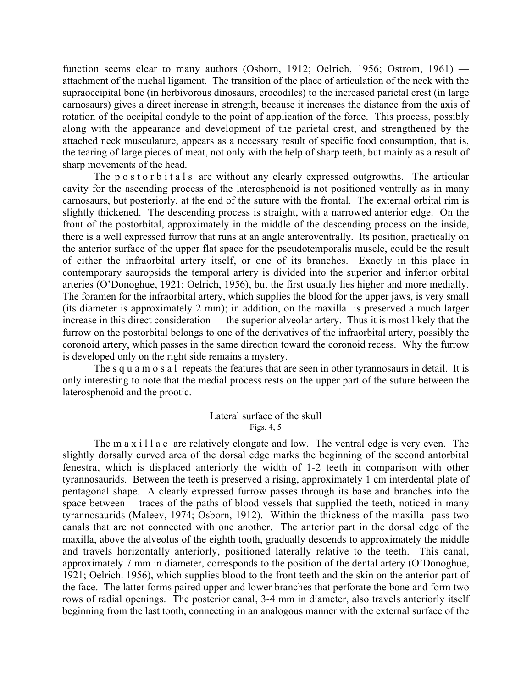function seems clear to many authors (Osborn, 1912; Oelrich, 1956; Ostrom, 1961) attachment of the nuchal ligament. The transition of the place of articulation of the neck with the supraoccipital bone (in herbivorous dinosaurs, crocodiles) to the increased parietal crest (in large carnosaurs) gives a direct increase in strength, because it increases the distance from the axis of rotation of the occipital condyle to the point of application of the force. This process, possibly along with the appearance and development of the parietal crest, and strengthened by the attached neck musculature, appears as a necessary result of specific food consumption, that is, the tearing of large pieces of meat, not only with the help of sharp teeth, but mainly as a result of sharp movements of the head.

The p o s t o r b i t a l s are without any clearly expressed outgrowths. The articular cavity for the ascending process of the laterosphenoid is not positioned ventrally as in many carnosaurs, but posteriorly, at the end of the suture with the frontal. The external orbital rim is slightly thickened. The descending process is straight, with a narrowed anterior edge. On the front of the postorbital, approximately in the middle of the descending process on the inside, there is a well expressed furrow that runs at an angle anteroventrally. Its position, practically on the anterior surface of the upper flat space for the pseudotemporalis muscle, could be the result of either the infraorbital artery itself, or one of its branches. Exactly in this place in contemporary sauropsids the temporal artery is divided into the superior and inferior orbital arteries (O'Donoghue, 1921; Oelrich, 1956), but the first usually lies higher and more medially. The foramen for the infraorbital artery, which supplies the blood for the upper jaws, is very small (its diameter is approximately 2 mm); in addition, on the maxilla is preserved a much larger increase in this direct consideration — the superior alveolar artery. Thus it is most likely that the furrow on the postorbital belongs to one of the derivatives of the infraorbital artery, possibly the coronoid artery, which passes in the same direction toward the coronoid recess. Why the furrow is developed only on the right side remains a mystery.

The s q u a m o s a l repeats the features that are seen in other tyrannosaurs in detail. It is only interesting to note that the medial process rests on the upper part of the suture between the laterosphenoid and the prootic.

#### Lateral surface of the skull Figs. 4, 5

The m a x i l l a e are relatively elongate and low. The ventral edge is very even. The slightly dorsally curved area of the dorsal edge marks the beginning of the second antorbital fenestra, which is displaced anteriorly the width of 1-2 teeth in comparison with other tyrannosaurids. Between the teeth is preserved a rising, approximately 1 cm interdental plate of pentagonal shape. A clearly expressed furrow passes through its base and branches into the space between —traces of the paths of blood vessels that supplied the teeth, noticed in many tyrannosaurids (Maleev, 1974; Osborn, 1912). Within the thickness of the maxilla pass two canals that are not connected with one another. The anterior part in the dorsal edge of the maxilla, above the alveolus of the eighth tooth, gradually descends to approximately the middle and travels horizontally anteriorly, positioned laterally relative to the teeth. This canal, approximately 7 mm in diameter, corresponds to the position of the dental artery (O'Donoghue, 1921; Oelrich. 1956), which supplies blood to the front teeth and the skin on the anterior part of the face. The latter forms paired upper and lower branches that perforate the bone and form two rows of radial openings. The posterior canal, 3-4 mm in diameter, also travels anteriorly itself beginning from the last tooth, connecting in an analogous manner with the external surface of the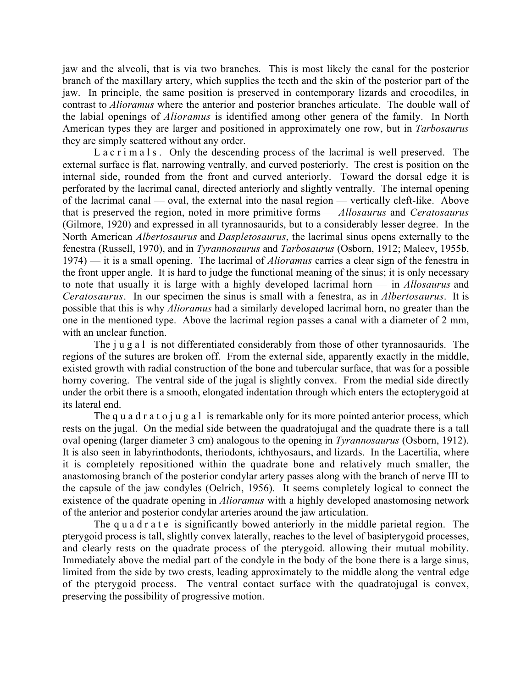jaw and the alveoli, that is via two branches. This is most likely the canal for the posterior branch of the maxillary artery, which supplies the teeth and the skin of the posterior part of the jaw. In principle, the same position is preserved in contemporary lizards and crocodiles, in contrast to *Alioramus* where the anterior and posterior branches articulate. The double wall of the labial openings of *Alioramus* is identified among other genera of the family. In North American types they are larger and positioned in approximately one row, but in *Tarbosaurus* they are simply scattered without any order.

L a c r i m a  $\vert$  s. Only the descending process of the lacrimal is well preserved. The external surface is flat, narrowing ventrally, and curved posteriorly. The crest is position on the internal side, rounded from the front and curved anteriorly. Toward the dorsal edge it is perforated by the lacrimal canal, directed anteriorly and slightly ventrally. The internal opening of the lacrimal canal — oval, the external into the nasal region — vertically cleft-like. Above that is preserved the region, noted in more primitive forms — *Allosaurus* and *Ceratosaurus* (Gilmore, 1920) and expressed in all tyrannosaurids, but to a considerably lesser degree. In the North American *Albertosaurus* and *Daspletosaurus*, the lacrimal sinus opens externally to the fenestra (Russell, 1970), and in *Tyrannosaurus* and *Tarbosaurus* (Osborn, 1912; Maleev, 1955b, 1974) — it is a small opening. The lacrimal of *Alioramus* carries a clear sign of the fenestra in the front upper angle. It is hard to judge the functional meaning of the sinus; it is only necessary to note that usually it is large with a highly developed lacrimal horn — in *Allosaurus* and *Ceratosaurus*. In our specimen the sinus is small with a fenestra, as in *Albertosaurus*. It is possible that this is why *Alioramus* had a similarly developed lacrimal horn, no greater than the one in the mentioned type. Above the lacrimal region passes a canal with a diameter of 2 mm, with an unclear function.

The *j* u g a l is not differentiated considerably from those of other tyrannosaurids. The regions of the sutures are broken off. From the external side, apparently exactly in the middle, existed growth with radial construction of the bone and tubercular surface, that was for a possible horny covering. The ventral side of the jugal is slightly convex. From the medial side directly under the orbit there is a smooth, elongated indentation through which enters the ectopterygoid at its lateral end.

The q u a d r a t o j u g a l is remarkable only for its more pointed anterior process, which rests on the jugal. On the medial side between the quadratojugal and the quadrate there is a tall oval opening (larger diameter 3 cm) analogous to the opening in *Tyrannosaurus* (Osborn, 1912). It is also seen in labyrinthodonts, theriodonts, ichthyosaurs, and lizards. In the Lacertilia, where it is completely repositioned within the quadrate bone and relatively much smaller, the anastomosing branch of the posterior condylar artery passes along with the branch of nerve III to the capsule of the jaw condyles (Oelrich, 1956). It seems completely logical to connect the existence of the quadrate opening in *Alioramus* with a highly developed anastomosing network of the anterior and posterior condylar arteries around the jaw articulation.

The q u a d r a t e is significantly bowed anteriorly in the middle parietal region. The pterygoid process is tall, slightly convex laterally, reaches to the level of basipterygoid processes, and clearly rests on the quadrate process of the pterygoid. allowing their mutual mobility. Immediately above the medial part of the condyle in the body of the bone there is a large sinus, limited from the side by two crests, leading approximately to the middle along the ventral edge of the pterygoid process. The ventral contact surface with the quadratojugal is convex, preserving the possibility of progressive motion.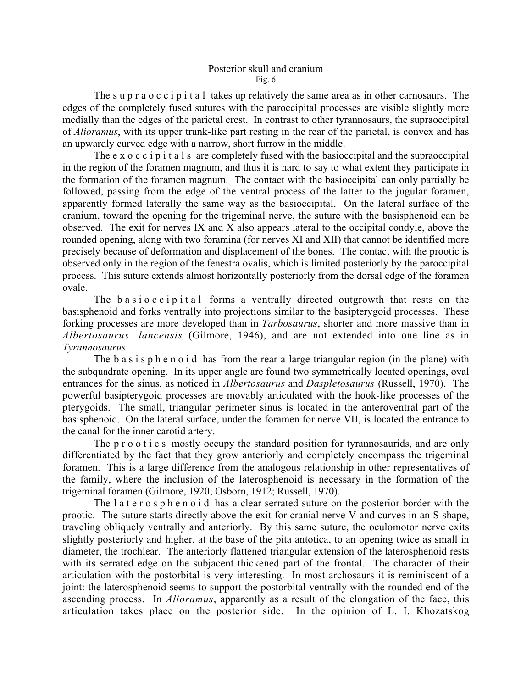#### Posterior skull and cranium Fig.  $6$

The s u p r a o c c i p i t a l takes up relatively the same area as in other carnosaurs. The edges of the completely fused sutures with the paroccipital processes are visible slightly more medially than the edges of the parietal crest. In contrast to other tyrannosaurs, the supraoccipital of *Alioramus*, with its upper trunk-like part resting in the rear of the parietal, is convex and has an upwardly curved edge with a narrow, short furrow in the middle.

The e x o c c i p i t a l s are completely fused with the basioccipital and the supraoccipital in the region of the foramen magnum, and thus it is hard to say to what extent they participate in the formation of the foramen magnum. The contact with the basioccipital can only partially be followed, passing from the edge of the ventral process of the latter to the jugular foramen, apparently formed laterally the same way as the basioccipital. On the lateral surface of the cranium, toward the opening for the trigeminal nerve, the suture with the basisphenoid can be observed. The exit for nerves IX and X also appears lateral to the occipital condyle, above the rounded opening, along with two foramina (for nerves XI and XII) that cannot be identified more precisely because of deformation and displacement of the bones. The contact with the prootic is observed only in the region of the fenestra ovalis, which is limited posteriorly by the paroccipital process. This suture extends almost horizontally posteriorly from the dorsal edge of the foramen ovale.

The b a s i o c c i p i t a l forms a ventrally directed outgrowth that rests on the basisphenoid and forks ventrally into projections similar to the basipterygoid processes. These forking processes are more developed than in *Tarbosaurus*, shorter and more massive than in *Albertosaurus lancensis* (Gilmore, 1946), and are not extended into one line as in *Tyrannosaurus*.

The b a s i s p h e n o i d has from the rear a large triangular region (in the plane) with the subquadrate opening. In its upper angle are found two symmetrically located openings, oval entrances for the sinus, as noticed in *Albertosaurus* and *Daspletosaurus* (Russell, 1970). The powerful basipterygoid processes are movably articulated with the hook-like processes of the pterygoids. The small, triangular perimeter sinus is located in the anteroventral part of the basisphenoid. On the lateral surface, under the foramen for nerve VII, is located the entrance to the canal for the inner carotid artery.

The p r o o t i c s mostly occupy the standard position for tyrannosaurids, and are only differentiated by the fact that they grow anteriorly and completely encompass the trigeminal foramen. This is a large difference from the analogous relationship in other representatives of the family, where the inclusion of the laterosphenoid is necessary in the formation of the trigeminal foramen (Gilmore, 1920; Osborn, 1912; Russell, 1970).

The later osphenoid has a clear serrated suture on the posterior border with the prootic. The suture starts directly above the exit for cranial nerve V and curves in an S-shape, traveling obliquely ventrally and anteriorly. By this same suture, the oculomotor nerve exits slightly posteriorly and higher, at the base of the pita antotica, to an opening twice as small in diameter, the trochlear. The anteriorly flattened triangular extension of the laterosphenoid rests with its serrated edge on the subjacent thickened part of the frontal. The character of their articulation with the postorbital is very interesting. In most archosaurs it is reminiscent of a joint: the laterosphenoid seems to support the postorbital ventrally with the rounded end of the ascending process. In *Alioramus*, apparently as a result of the elongation of the face, this articulation takes place on the posterior side. In the opinion of L. I. Khozatskog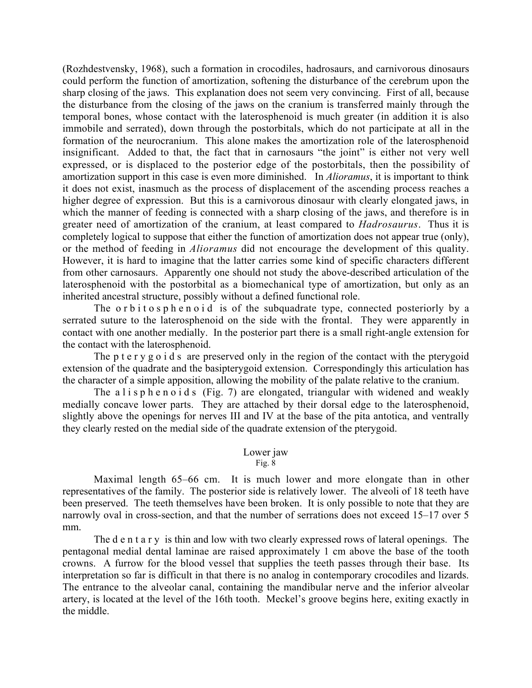(Rozhdestvensky, 1968), such a formation in crocodiles, hadrosaurs, and carnivorous dinosaurs could perform the function of amortization, softening the disturbance of the cerebrum upon the sharp closing of the jaws. This explanation does not seem very convincing. First of all, because the disturbance from the closing of the jaws on the cranium is transferred mainly through the temporal bones, whose contact with the laterosphenoid is much greater (in addition it is also immobile and serrated), down through the postorbitals, which do not participate at all in the formation of the neurocranium. This alone makes the amortization role of the laterosphenoid insignificant. Added to that, the fact that in carnosaurs "the joint" is either not very well expressed, or is displaced to the posterior edge of the postorbitals, then the possibility of amortization support in this case is even more diminished. In *Alioramus*, it is important to think it does not exist, inasmuch as the process of displacement of the ascending process reaches a higher degree of expression. But this is a carnivorous dinosaur with clearly elongated jaws, in which the manner of feeding is connected with a sharp closing of the jaws, and therefore is in greater need of amortization of the cranium, at least compared to *Hadrosaurus*. Thus it is completely logical to suppose that either the function of amortization does not appear true (only), or the method of feeding in *Alioramus* did not encourage the development of this quality. However, it is hard to imagine that the latter carries some kind of specific characters different from other carnosaurs. Apparently one should not study the above-described articulation of the laterosphenoid with the postorbital as a biomechanical type of amortization, but only as an inherited ancestral structure, possibly without a defined functional role.

The orbitosphenoid is of the subquadrate type, connected posteriorly by a serrated suture to the laterosphenoid on the side with the frontal. They were apparently in contact with one another medially. In the posterior part there is a small right-angle extension for the contact with the laterosphenoid.

The p t e r y g o i d s are preserved only in the region of the contact with the pterygoid extension of the quadrate and the basipterygoid extension. Correspondingly this articulation has the character of a simple apposition, allowing the mobility of the palate relative to the cranium.

The a l i s p h e n o i d s (Fig. 7) are elongated, triangular with widened and weakly medially concave lower parts. They are attached by their dorsal edge to the laterosphenoid, slightly above the openings for nerves III and IV at the base of the pita antotica, and ventrally they clearly rested on the medial side of the quadrate extension of the pterygoid.

#### Lower jaw

Fig. 8

Maximal length 65–66 cm. It is much lower and more elongate than in other representatives of the family. The posterior side is relatively lower. The alveoli of 18 teeth have been preserved. The teeth themselves have been broken. It is only possible to note that they are narrowly oval in cross-section, and that the number of serrations does not exceed 15–17 over 5 mm.

The d e n t a r y is thin and low with two clearly expressed rows of lateral openings. The pentagonal medial dental laminae are raised approximately 1 cm above the base of the tooth crowns. A furrow for the blood vessel that supplies the teeth passes through their base. Its interpretation so far is difficult in that there is no analog in contemporary crocodiles and lizards. The entrance to the alveolar canal, containing the mandibular nerve and the inferior alveolar artery, is located at the level of the 16th tooth. Meckel's groove begins here, exiting exactly in the middle.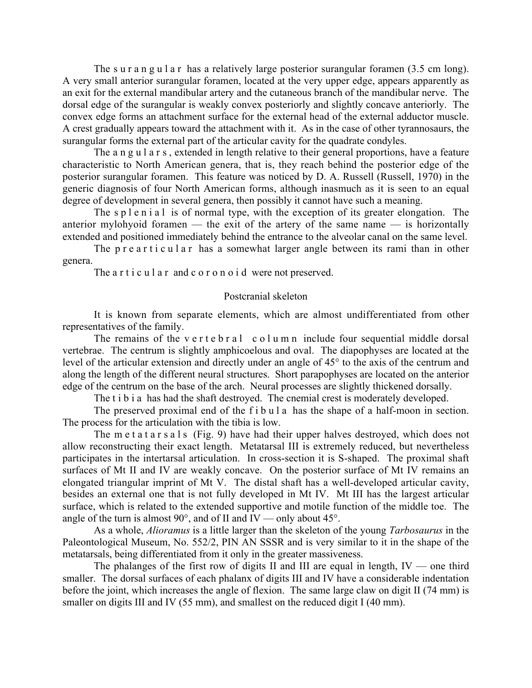The sur angular has a relatively large posterior surangular foramen (3.5 cm long). A very small anterior surangular foramen, located at the very upper edge, appears apparently as an exit for the external mandibular artery and the cutaneous branch of the mandibular nerve. The dorsal edge of the surangular is weakly convex posteriorly and slightly concave anteriorly. The convex edge forms an attachment surface for the external head of the external adductor muscle. A crest gradually appears toward the attachment with it. As in the case of other tyrannosaurs, the surangular forms the external part of the articular cavity for the quadrate condyles.

The a n g u l a r s, extended in length relative to their general proportions, have a feature characteristic to North American genera, that is, they reach behind the posterior edge of the posterior surangular foramen. This feature was noticed by D. A. Russell (Russell, 1970) in the generic diagnosis of four North American forms, although inasmuch as it is seen to an equal degree of development in several genera, then possibly it cannot have such a meaning.

The s p l e n i a l is of normal type, with the exception of its greater elongation. The anterior mylohyoid foramen — the exit of the artery of the same name — is horizontally extended and positioned immediately behind the entrance to the alveolar canal on the same level.

The p r e a r t i c u l a r has a somewhat larger angle between its rami than in other genera.

The a r t i c u l a r and c o r o n o i d were not preserved.

#### Postcranial skeleton

It is known from separate elements, which are almost undifferentiated from other representatives of the family.

The remains of the v e r t e  $b$  r a l c o l u m n include four sequential middle dorsal vertebrae. The centrum is slightly amphicoelous and oval. The diapophyses are located at the level of the articular extension and directly under an angle of 45° to the axis of the centrum and along the length of the different neural structures. Short parapophyses are located on the anterior edge of the centrum on the base of the arch. Neural processes are slightly thickened dorsally.

The t i b i a has had the shaft destroyed. The cnemial crest is moderately developed.

The preserved proximal end of the f i b u l a has the shape of a half-moon in section. The process for the articulation with the tibia is low.

The m e t a t a r s a l s (Fig. 9) have had their upper halves destroyed, which does not allow reconstructing their exact length. Metatarsal III is extremely reduced, but nevertheless participates in the intertarsal articulation. In cross-section it is S-shaped. The proximal shaft surfaces of Mt II and IV are weakly concave. On the posterior surface of Mt IV remains an elongated triangular imprint of Mt V. The distal shaft has a well-developed articular cavity, besides an external one that is not fully developed in Mt IV. Mt III has the largest articular surface, which is related to the extended supportive and motile function of the middle toe. The angle of the turn is almost 90 $^{\circ}$ , and of II and IV — only about 45 $^{\circ}$ .

As a whole, *Alioramus* is a little larger than the skeleton of the young *Tarbosaurus* in the Paleontological Museum, No. 552/2, PIN AN SSSR and is very similar to it in the shape of the metatarsals, being differentiated from it only in the greater massiveness.

The phalanges of the first row of digits II and III are equal in length,  $IV$  — one third smaller. The dorsal surfaces of each phalanx of digits III and IV have a considerable indentation before the joint, which increases the angle of flexion. The same large claw on digit II (74 mm) is smaller on digits III and IV (55 mm), and smallest on the reduced digit I (40 mm).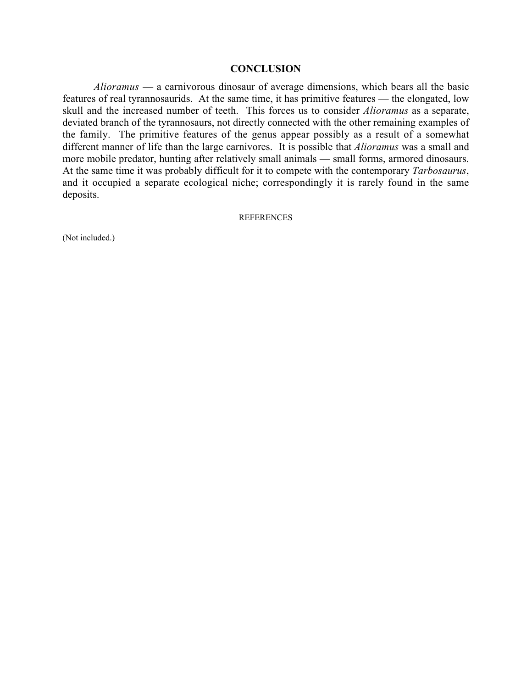#### **CONCLUSION**

*Alioramus* — a carnivorous dinosaur of average dimensions, which bears all the basic features of real tyrannosaurids. At the same time, it has primitive features — the elongated, low skull and the increased number of teeth. This forces us to consider *Alioramus* as a separate, deviated branch of the tyrannosaurs, not directly connected with the other remaining examples of the family. The primitive features of the genus appear possibly as a result of a somewhat different manner of life than the large carnivores. It is possible that *Alioramus* was a small and more mobile predator, hunting after relatively small animals — small forms, armored dinosaurs. At the same time it was probably difficult for it to compete with the contemporary *Tarbosaurus*, and it occupied a separate ecological niche; correspondingly it is rarely found in the same deposits.

#### **REFERENCES**

(Not included.)